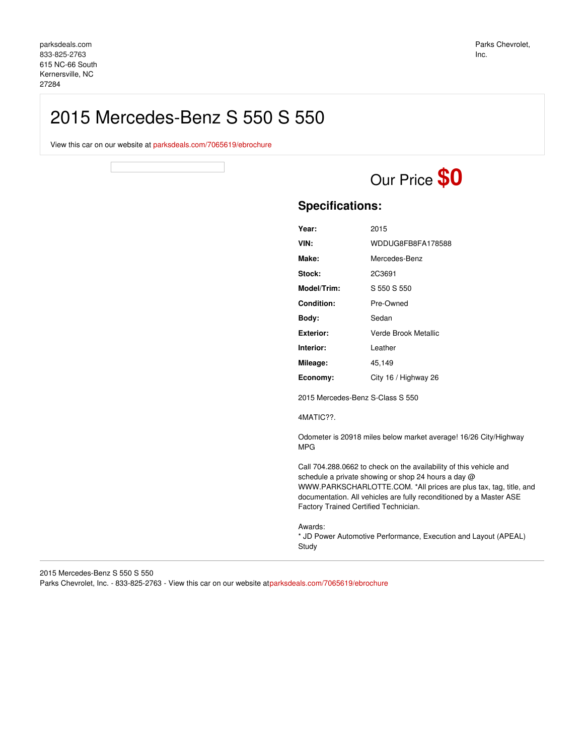# 2015 Mercedes-Benz S 550 S 550

View this car on our website at [parksdeals.com/7065619/ebrochure](file:///7065619/ebrochure)

Our Price **\$0**

# **Specifications:**

| Year:       | 2015                 |
|-------------|----------------------|
| VIN:        | WDDUG8FB8FA178588    |
| Make:       | Mercedes-Benz        |
| Stock:      | 2C3691               |
| Model/Trim: | S 550 S 550          |
| Condition:  | Pre-Owned            |
| Body:       | Sedan                |
| Exterior:   | Verde Brook Metallic |
| Interior:   | Leather              |
| Mileage:    | 45,149               |
| Economy:    | City 16 / Highway 26 |
|             |                      |

2015 Mercedes-Benz S-Class S 550

4MATIC??.

Odometer is 20918 miles below market average! 16/26 City/Highway MPG

Call 704.288.0662 to check on the availability of this vehicle and schedule a private showing or shop 24 hours a day @ WWW.PARKSCHARLOTTE.COM. \*All prices are plus tax, tag, title, and documentation. All vehicles are fully reconditioned by a Master ASE Factory Trained Certified Technician.

Awards:

\* JD Power Automotive Performance, Execution and Layout (APEAL) Study

2015 Mercedes-Benz S 550 S 550 Parks Chevrolet, Inc. - 833-825-2763 - View this car on our website a[tparksdeals.com/7065619/ebrochure](file:///7065619/ebrochure)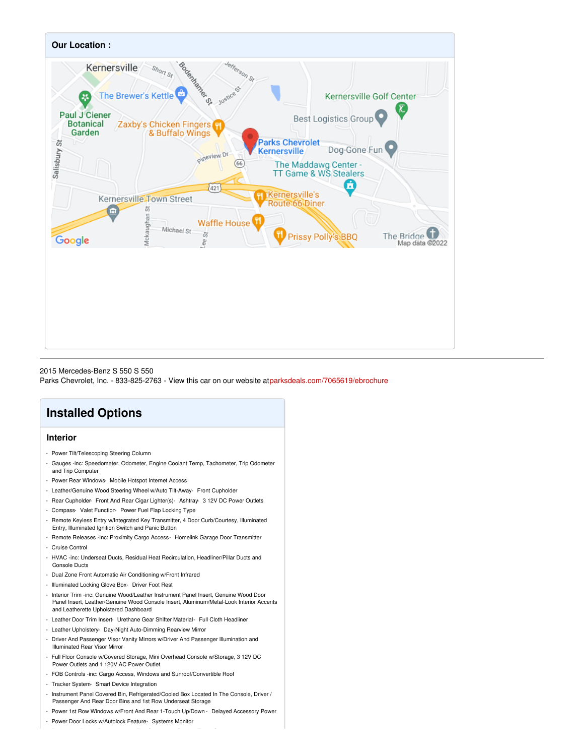

#### 2015 Mercedes-Benz S 550 S 550

Parks Chevrolet, Inc. - 833-825-2763 - View this car on our website a[tparksdeals.com/7065619/ebrochure](file:///7065619/ebrochure)

# **Installed Options**

## **Interior**

- Power Tilt/Telescoping Steering Column
- Gauges -inc: Speedometer, Odometer, Engine Coolant Temp, Tachometer, Trip Odometer and Trip Computer
- Power Rear Windows- Mobile Hotspot Internet Access
- Leather/Genuine Wood Steering Wheel w/Auto Tilt-Away- Front Cupholder
- Rear Cupholder- Front And Rear Cigar Lighter(s)- Ashtray- 3 12V DC Power Outlets
- Compass- Valet Function- Power Fuel Flap Locking Type
- Remote Keyless Entry w/Integrated Key Transmitter, 4 Door Curb/Courtesy, Illuminated Entry, Illuminated Ignition Switch and Panic Button
- Remote Releases -Inc: Proximity Cargo Access- Homelink Garage Door Transmitter - Cruise Control
- HVAC -inc: Underseat Ducts, Residual Heat Recirculation, Headliner/Pillar Ducts and Console Ducts
- Dual Zone Front Automatic Air Conditioning w/Front Infrared
- Illuminated Locking Glove Box- Driver Foot Rest
- Interior Trim -inc: Genuine Wood/Leather Instrument Panel Insert, Genuine Wood Door Panel Insert, Leather/Genuine Wood Console Insert, Aluminum/Metal-Look Interior Accents and Leatherette Upholstered Dashboard
- Leather Door Trim Insert- Urethane Gear Shifter Material- Full Cloth Headliner
- Leather Upholstery- Day-Night Auto-Dimming Rearview Mirror
- Driver And Passenger Visor Vanity Mirrors w/Driver And Passenger Illumination and Illuminated Rear Visor Mirror
- Full Floor Console w/Covered Storage, Mini Overhead Console w/Storage, 3 12V DC Power Outlets and 1 120V AC Power Outlet
- FOB Controls -inc: Cargo Access, Windows and Sunroof/Convertible Roof
- Tracker System- Smart Device Integration
- Instrument Panel Covered Bin, Refrigerated/Cooled Box Located In The Console, Driver / Passenger And Rear Door Bins and 1st Row Underseat Storage
- Power 1st Row Windows w/Front And Rear 1-Touch Up/Down Delayed Accessory Power
- Power Door Locks w/Autolock Feature- Systems Monitor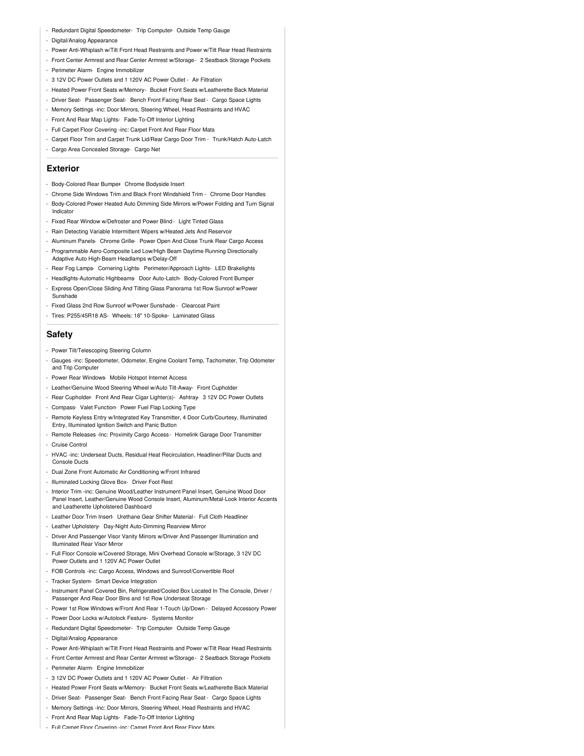- Redundant Digital Speedometer- Trip Computer- Outside Temp Gauge
- Digital/Analog Appearance
- Power Anti-Whiplash w/Tilt Front Head Restraints and Power w/Tilt Rear Head Restraints
- Front Center Armrest and Rear Center Armrest w/Storage- 2 Seatback Storage Pockets
- Perimeter Alarm- Engine Immobilizer
- 3 12V DC Power Outlets and 1 120V AC Power Outlet Air Filtration
- Heated Power Front Seats w/Memory- Bucket Front Seats w/Leatherette Back Material
- Driver Seat- Passenger Seat- Bench Front Facing Rear Seat Cargo Space Lights
- Memory Settings -inc: Door Mirrors, Steering Wheel, Head Restraints and HVAC
- Front And Rear Map Lights- Fade-To-Off Interior Lighting
- Full Carpet Floor Covering -inc: Carpet Front And Rear Floor Mats
- Carpet Floor Trim and Carpet Trunk Lid/Rear Cargo Door Trim Trunk/Hatch Auto-Latch
- Cargo Area Concealed Storage- Cargo Net

#### **Exterior**

- Body-Colored Rear Bumper- Chrome Bodyside Insert
- Chrome Side Windows Trim and Black Front Windshield Trim Chrome Door Handles
- Body-Colored Power Heated Auto Dimming Side Mirrors w/Power Folding and Turn Signal Indicator
- Fixed Rear Window w/Defroster and Power Blind Light Tinted Glass
- Rain Detecting Variable Intermittent Wipers w/Heated Jets And Reservoir
- Aluminum Panels- Chrome Grille- Power Open And Close Trunk Rear Cargo Access
- Programmable Aero-Composite Led Low/High Beam Daytime Running Directionally Adaptive Auto High-Beam Headlamps w/Delay-Off
- Rear Fog Lamps- Cornering Lights- Perimeter/Approach Lights- LED Brakelights
- Headlights-Automatic Highbeams- Door Auto-Latch- Body-Colored Front Bumper
- Express Open/Close Sliding And Tilting Glass Panorama 1st Row Sunroof w/Power Sunshade
- Fixed Glass 2nd Row Sunroof w/Power Sunshade Clearcoat Paint
- Tires: P255/45R18 AS- Wheels: 18" 10-Spoke- Laminated Glass

### **Safety**

- Power Tilt/Telescoping Steering Column
- Gauges -inc: Speedometer, Odometer, Engine Coolant Temp, Tachometer, Trip Odometer and Trip Computer
- Power Rear Windows- Mobile Hotspot Internet Access
- Leather/Genuine Wood Steering Wheel w/Auto Tilt-Away- Front Cupholder
- Rear Cupholder- Front And Rear Cigar Lighter(s) Ashtray- 3 12V DC Power Outlets
- Compass- Valet Function- Power Fuel Flap Locking Type
- Remote Keyless Entry w/Integrated Key Transmitter, 4 Door Curb/Courtesy, Illuminated Entry, Illuminated Ignition Switch and Panic Button
- Remote Releases -Inc: Proximity Cargo Access Homelink Garage Door Transmitter - Cruise Control
- 
- HVAC -inc: Underseat Ducts, Residual Heat Recirculation, Headliner/Pillar Ducts and Console Ducts
- Dual Zone Front Automatic Air Conditioning w/Front Infrared
- Illuminated Locking Glove Box- Driver Foot Rest
- Interior Trim -inc: Genuine Wood/Leather Instrument Panel Insert, Genuine Wood Door Panel Insert, Leather/Genuine Wood Console Insert, Aluminum/Metal-Look Interior Accents and Leatherette Upholstered Dashboard
- Leather Door Trim Insert- Urethane Gear Shifter Material- Full Cloth Headliner
- Leather Upholstery- Day-Night Auto-Dimming Rearview Mirror
- Driver And Passenger Visor Vanity Mirrors w/Driver And Passenger Illumination and Illuminated Rear Visor Mirror
- Full Floor Console w/Covered Storage, Mini Overhead Console w/Storage, 3 12V DC Power Outlets and 1 120V AC Power Outlet
- FOB Controls -inc: Cargo Access, Windows and Sunroof/Convertible Roof
- Tracker System- Smart Device Integration
- Instrument Panel Covered Bin, Refrigerated/Cooled Box Located In The Console, Driver / Passenger And Rear Door Bins and 1st Row Underseat Storage
- Power 1st Row Windows w/Front And Rear 1-Touch Up/Down Delayed Accessory Power
- Power Door Locks w/Autolock Feature- Systems Monitor
- Redundant Digital Speedometer- Trip Computer- Outside Temp Gauge
- Digital/Analog Appearance
- Power Anti-Whiplash w/Tilt Front Head Restraints and Power w/Tilt Rear Head Restraints
- Front Center Armrest and Rear Center Armrest w/Storage- 2 Seatback Storage Pockets
- Perimeter Alarm- Engine Immobilizer
- 3 12V DC Power Outlets and 1 120V AC Power Outlet Air Filtration
- Heated Power Front Seats w/Memory- Bucket Front Seats w/Leatherette Back Material
- Driver Seat- Passenger Seat- Bench Front Facing Rear Seat Cargo Space Lights
- Memory Settings -inc: Door Mirrors, Steering Wheel, Head Restraints and HVAC
- Front And Rear Map Lights- Fade-To-Off Interior Lighting
- Full Carpet Floor Covering -inc: Carpet Front And Rear Floor Mats